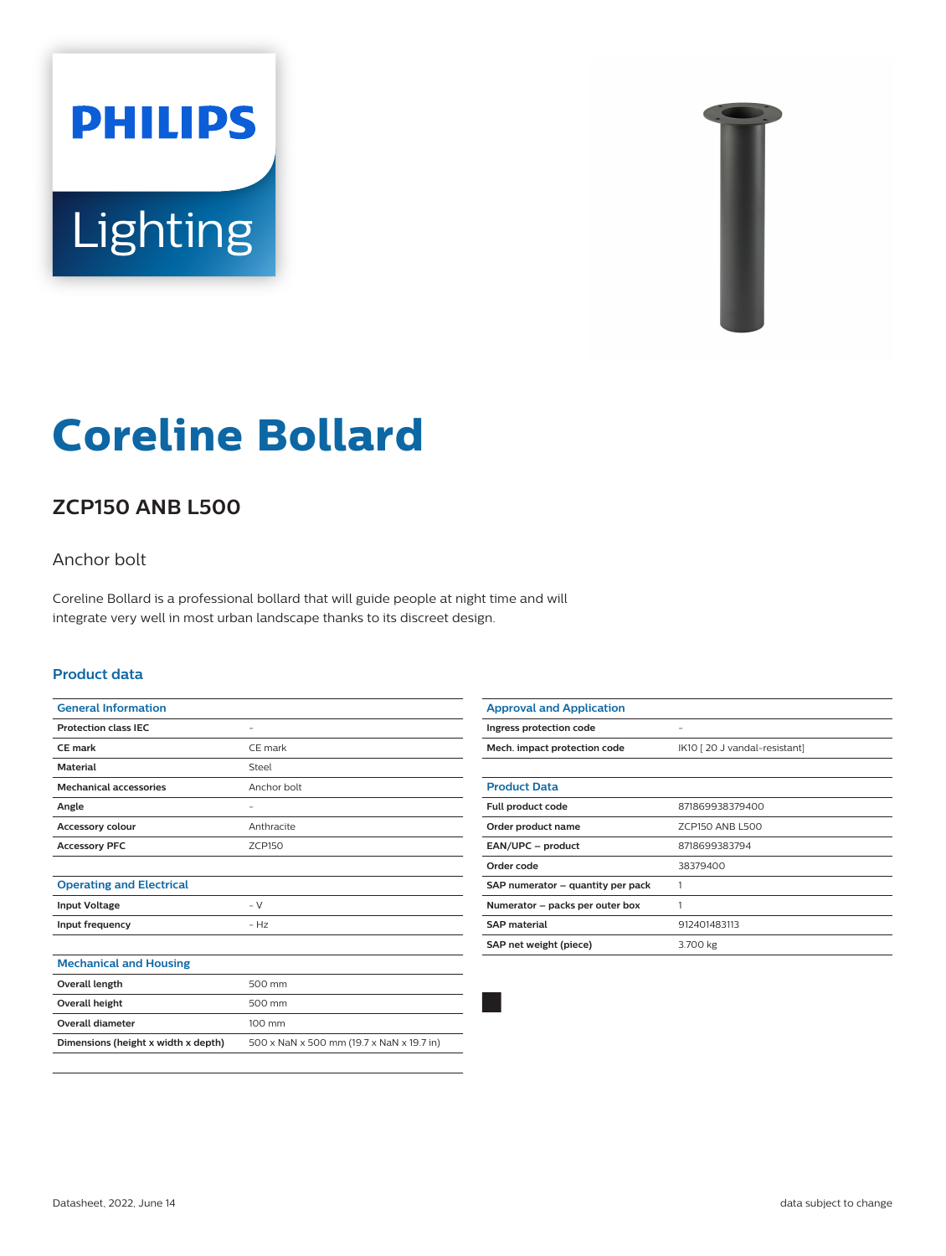



# **Coreline Bollard**

# **ZCP150 ANB L500**

## Anchor bolt

Coreline Bollard is a professional bollard that will guide people at night time and will integrate very well in most urban landscape thanks to its discreet design.

#### **Product data**

| <b>General Information</b>          |                                           |
|-------------------------------------|-------------------------------------------|
| <b>Protection class IEC</b>         |                                           |
| CE mark                             | CE mark                                   |
| <b>Material</b>                     | Steel                                     |
| <b>Mechanical accessories</b>       | Anchor bolt                               |
| Angle                               |                                           |
| <b>Accessory colour</b>             | Anthracite                                |
| <b>Accessory PFC</b>                | <b>ZCP150</b>                             |
|                                     |                                           |
| <b>Operating and Electrical</b>     |                                           |
| <b>Input Voltage</b>                | $-V$                                      |
| Input frequency                     | $- Hz$                                    |
|                                     |                                           |
| <b>Mechanical and Housing</b>       |                                           |
| <b>Overall length</b>               | 500 mm                                    |
| <b>Overall height</b>               | 500 mm                                    |
| <b>Overall diameter</b>             | 100 mm                                    |
| Dimensions (height x width x depth) | 500 x NaN x 500 mm (19.7 x NaN x 19.7 in) |
|                                     |                                           |

| <b>Approval and Application</b>   |                              |
|-----------------------------------|------------------------------|
| Ingress protection code           | -                            |
| Mech. impact protection code      | IK10 [20 J vandal-resistant] |
|                                   |                              |
| <b>Product Data</b>               |                              |
| Full product code                 | 871869938379400              |
| Order product name                | ZCP150 ANB L500              |
| EAN/UPC - product                 | 8718699383794                |
| Order code                        | 38379400                     |
| SAP numerator - quantity per pack |                              |
| Numerator – packs per outer box   | 1                            |
| <b>SAP material</b>               | 912401483113                 |
| SAP net weight (piece)            | 3.700 kg                     |
|                                   |                              |